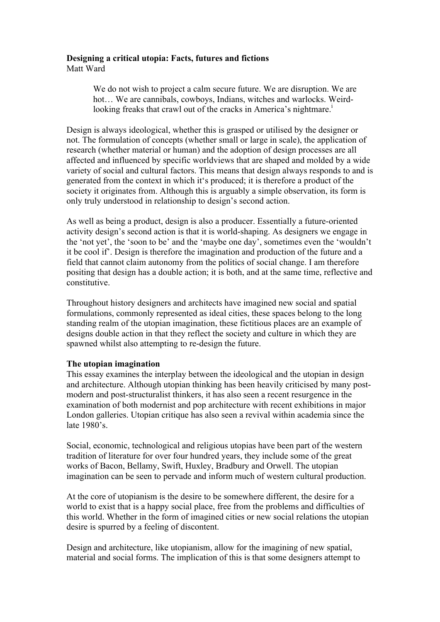## **Designing a critical utopia: Facts, futures and fictions** Matt Ward

We do not wish to project a calm secure future. We are disruption. We are hot… We are cannibals, cowboys, Indians, witches and warlocks. Weirdlooking freaks that crawl out of the cracks in America's nightmare.<sup>1</sup>

Design is always ideological, whether this is grasped or utilised by the designer or not. The formulation of concepts (whether small or large in scale), the application of research (whether material or human) and the adoption of design processes are all affected and influenced by specific worldviews that are shaped and molded by a wide variety of social and cultural factors. This means that design always responds to and is generated from the context in which it's produced; it is therefore a product of the society it originates from. Although this is arguably a simple observation, its form is only truly understood in relationship to design's second action.

As well as being a product, design is also a producer. Essentially a future-oriented activity design's second action is that it is world-shaping. As designers we engage in the 'not yet', the 'soon to be' and the 'maybe one day', sometimes even the 'wouldn't it be cool if'. Design is therefore the imagination and production of the future and a field that cannot claim autonomy from the politics of social change. I am therefore positing that design has a double action; it is both, and at the same time, reflective and constitutive.

Throughout history designers and architects have imagined new social and spatial formulations, commonly represented as ideal cities, these spaces belong to the long standing realm of the utopian imagination, these fictitious places are an example of designs double action in that they reflect the society and culture in which they are spawned whilst also attempting to re-design the future.

## **The utopian imagination**

This essay examines the interplay between the ideological and the utopian in design and architecture. Although utopian thinking has been heavily criticised by many postmodern and post-structuralist thinkers, it has also seen a recent resurgence in the examination of both modernist and pop architecture with recent exhibitions in major London galleries. Utopian critique has also seen a revival within academia since the late 1980's.

Social, economic, technological and religious utopias have been part of the western tradition of literature for over four hundred years, they include some of the great works of Bacon, Bellamy, Swift, Huxley, Bradbury and Orwell. The utopian imagination can be seen to pervade and inform much of western cultural production.

At the core of utopianism is the desire to be somewhere different, the desire for a world to exist that is a happy social place, free from the problems and difficulties of this world. Whether in the form of imagined cities or new social relations the utopian desire is spurred by a feeling of discontent.

Design and architecture, like utopianism, allow for the imagining of new spatial, material and social forms. The implication of this is that some designers attempt to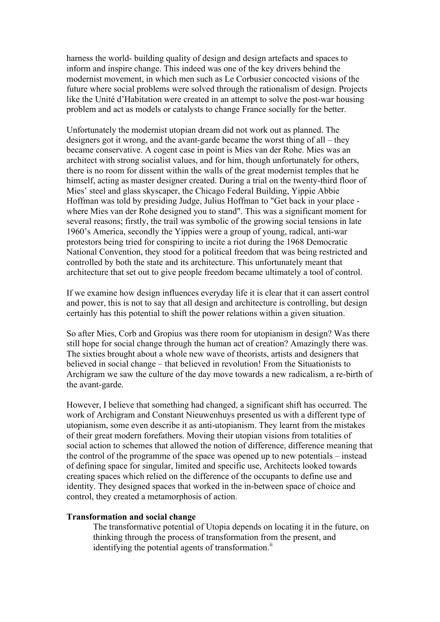harness the world- building quality of design and design artefacts and spaces to inform and inspire change. This indeed was one of the key drivers behind the modernist movement, in which men such as Le Corbusier concocted visions of the future where social problems were solved through the rationalism of design. Projects like the Unité d'Habitation were created in an attempt to solve the post-war housing problem and act as models or catalysts to change France socially for the better.

Unfortunately the modernist utopian dream did not work out as planned. The designers got it wrong, and the avant-garde became the worst thing of all – they became conservative. A cogent case in point is Mies van der Rohe. Mies was an architect with strong socialist values, and for him, though unfortunately for others, there is no room for dissent within the walls of the great modernist temples that he himself, acting as master designer created. During a trial on the twenty-third floor of Mies' steel and glass skyscaper, the Chicago Federal Building, Yippie Abbie Hoffman was told by presiding Judge, Julius Hoffman to "Get back in your place where Mies van der Rohe designed you to stand". This was a significant moment for several reasons; firstly, the trail was symbolic of the growing social tensions in late 1960's America, secondly the Yippies were a group of young, radical, anti-war protestors being tried for conspiring to incite a riot during the 1968 Democratic National Convention, they stood for a political freedom that was being restricted and controlled by both the state and its architecture. This unfortunately meant that architecture that set out to give people freedom became ultimately a tool of control.

If we examine how design influences everyday life it is clear that it can assert control and power, this is not to say that all design and architecture is controlling, but design certainly has this potential to shift the power relations within a given situation.

So after Mies, Corb and Gropius was there room for utopianism in design? Was there still hope for social change through the human act of creation? Amazingly there was. The sixties brought about a whole new wave of theorists, artists and designers that believed in social change – that believed in revolution! From the Situationists to Archigram we saw the culture of the day move towards a new radicalism, a re-birth of the avant-garde.

However, I believe that something had changed, a significant shift has occurred. The work of Archigram and Constant Nieuwenhuys presented us with a different type of utopianism, some even describe it as anti-utopianism. They learnt from the mistakes of their great modern forefathers. Moving their utopian visions from totalities of social action to schemes that allowed the notion of difference, difference meaning that the control of the programme of the space was opened up to new potentials – instead of defining space for singular, limited and specific use, Architects looked towards creating spaces which relied on the difference of the occupants to define use and identity. They designed spaces that worked in the in-between space of choice and control, they created a metamorphosis of action.

## **Transformation and social change**

The transformative potential of Utopia depends on locating it in the future, on thinking through the process of transformation from the present, and identifying the potential agents of transformation. $\ddot{I}$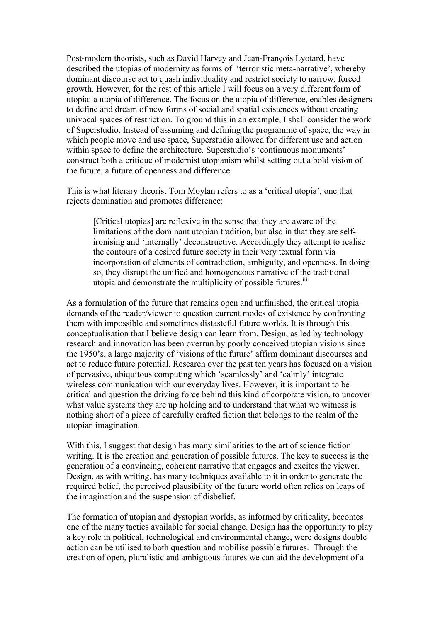Post-modern theorists, such as David Harvey and Jean-François Lyotard, have described the utopias of modernity as forms of 'terroristic meta-narrative', whereby dominant discourse act to quash individuality and restrict society to narrow, forced growth. However, for the rest of this article I will focus on a very different form of utopia: a utopia of difference. The focus on the utopia of difference, enables designers to define and dream of new forms of social and spatial existences without creating univocal spaces of restriction. To ground this in an example, I shall consider the work of Superstudio. Instead of assuming and defining the programme of space, the way in which people move and use space, Superstudio allowed for different use and action within space to define the architecture. Superstudio's 'continuous monuments' construct both a critique of modernist utopianism whilst setting out a bold vision of the future, a future of openness and difference.

This is what literary theorist Tom Moylan refers to as a 'critical utopia', one that rejects domination and promotes difference:

[Critical utopias] are reflexive in the sense that they are aware of the limitations of the dominant utopian tradition, but also in that they are selfironising and 'internally' deconstructive. Accordingly they attempt to realise the contours of a desired future society in their very textual form via incorporation of elements of contradiction, ambiguity, and openness. In doing so, they disrupt the unified and homogeneous narrative of the traditional utopia and demonstrate the multiplicity of possible futures.<sup>iii</sup>

As a formulation of the future that remains open and unfinished, the critical utopia demands of the reader/viewer to question current modes of existence by confronting them with impossible and sometimes distasteful future worlds. It is through this conceptualisation that I believe design can learn from. Design, as led by technology research and innovation has been overrun by poorly conceived utopian visions since the 1950's, a large majority of 'visions of the future' affirm dominant discourses and act to reduce future potential. Research over the past ten years has focused on a vision of pervasive, ubiquitous computing which 'seamlessly' and 'calmly' integrate wireless communication with our everyday lives. However, it is important to be critical and question the driving force behind this kind of corporate vision, to uncover what value systems they are up holding and to understand that what we witness is nothing short of a piece of carefully crafted fiction that belongs to the realm of the utopian imagination.

With this, I suggest that design has many similarities to the art of science fiction writing. It is the creation and generation of possible futures. The key to success is the generation of a convincing, coherent narrative that engages and excites the viewer. Design, as with writing, has many techniques available to it in order to generate the required belief, the perceived plausibility of the future world often relies on leaps of the imagination and the suspension of disbelief.

The formation of utopian and dystopian worlds, as informed by criticality, becomes one of the many tactics available for social change. Design has the opportunity to play a key role in political, technological and environmental change, were designs double action can be utilised to both question and mobilise possible futures. Through the creation of open, pluralistic and ambiguous futures we can aid the development of a